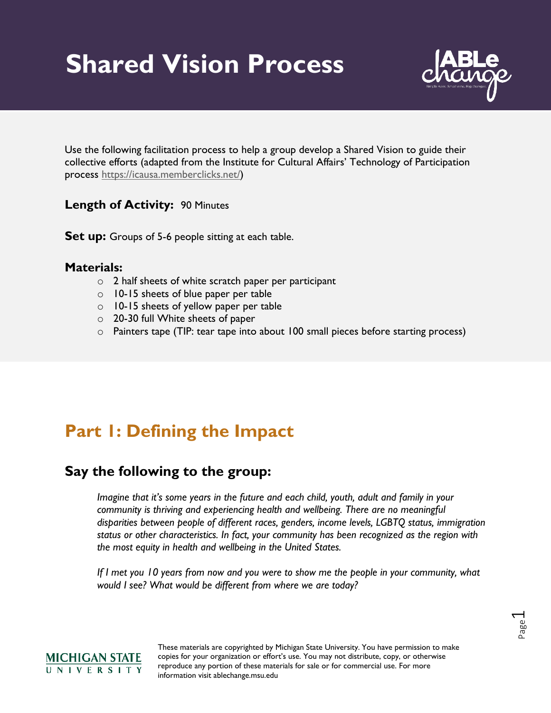# **Shared Vision Process**



Use the following facilitation process to help a group develop a Shared Vision to guide their collective efforts (adapted from the Institute for Cultural Affairs' Technology of Participation process [https://icausa.memberclicks.net/\)](https://icausa.memberclicks.net/)

#### **Length of Activity:** 90 Minutes

**Set up:** Groups of 5-6 people sitting at each table.

#### **Materials:**

- o 2 half sheets of white scratch paper per participant
- o 10-15 sheets of blue paper per table
- $\circ$  10-15 sheets of yellow paper per table
- o 20-30 full White sheets of paper
- o Painters tape (TIP: tear tape into about 100 small pieces before starting process)

## **Part 1: Defining the Impact**

### **Say the following to the group:**

*Imagine that it's some years in the future and each child, youth, adult and family in your community is thriving and experiencing health and wellbeing. There are no meaningful disparities between people of different races, genders, income levels, LGBTQ status, immigration status or other characteristics. In fact, your community has been recognized as the region with the most equity in health and wellbeing in the United States.*

*If I met you 10 years from now and you were to show me the people in your community, what would I see? What would be different from where we are today?* 

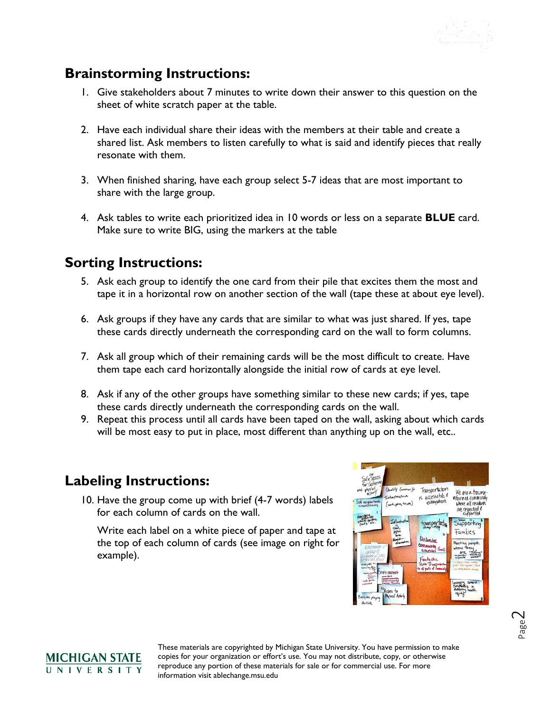

### **Brainstorming Instructions:**

- 1. Give stakeholders about 7 minutes to write down their answer to this question on the sheet of white scratch paper at the table.
- 2. Have each individual share their ideas with the members at their table and create a shared list. Ask members to listen carefully to what is said and identify pieces that really resonate with them.
- 3. When finished sharing, have each group select 5-7 ideas that are most important to share with the large group.
- 4. Ask tables to write each prioritized idea in 10 words or less on a separate **BLUE** card. Make sure to write BIG, using the markers at the table

### **Sorting Instructions:**

- 5. Ask each group to identify the one card from their pile that excites them the most and tape it in a horizontal row on another section of the wall (tape these at about eye level).
- 6. Ask groups if they have any cards that are similar to what was just shared. If yes, tape these cards directly underneath the corresponding card on the wall to form columns.
- 7. Ask all group which of their remaining cards will be the most difficult to create. Have them tape each card horizontally alongside the initial row of cards at eye level.
- 8. Ask if any of the other groups have something similar to these new cards; if yes, tape these cards directly underneath the corresponding cards on the wall.
- 9. Repeat this process until all cards have been taped on the wall, asking about which cards will be most easy to put in place, most different than anything up on the wall, etc..

### **Labeling Instructions:**

10. Have the group come up with brief (4-7 words) labels for each column of cards on the wall.

Write each label on a white piece of paper and tape at the top of each column of cards (see image on right for example).



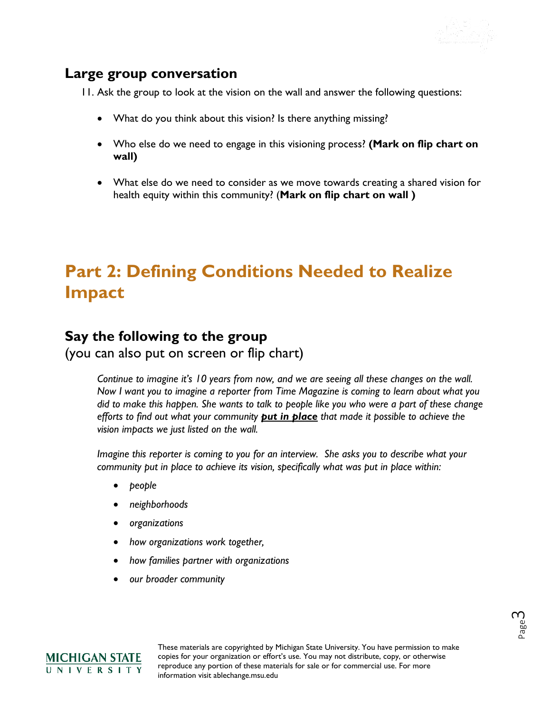

### **Large group conversation**

11. Ask the group to look at the vision on the wall and answer the following questions:

- What do you think about this vision? Is there anything missing?
- Who else do we need to engage in this visioning process? **(Mark on flip chart on wall)**
- What else do we need to consider as we move towards creating a shared vision for health equity within this community? (**Mark on flip chart on wall )**

# **Part 2: Defining Conditions Needed to Realize Impact**

### **Say the following to the group**

(you can also put on screen or flip chart)

*Continue to imagine it's 10 years from now, and we are seeing all these changes on the wall. Now I want you to imagine a reporter from Time Magazine is coming to learn about what you did to make this happen. She wants to talk to people like you who were a part of these change efforts to find out what your community put in place that made it possible to achieve the vision impacts we just listed on the wall.* 

*Imagine this reporter is coming to you for an interview. She asks you to describe what your community put in place to achieve its vision, specifically what was put in place within:*

- *people*
- *neighborhoods*
- *organizations*
- *how organizations work together,*
- *how families partner with organizations*
- *our broader community*



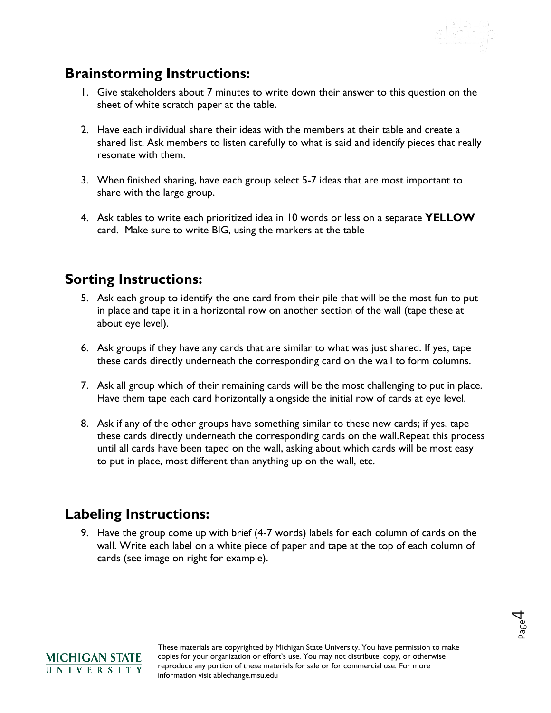

### **Brainstorming Instructions:**

- 1. Give stakeholders about 7 minutes to write down their answer to this question on the sheet of white scratch paper at the table.
- 2. Have each individual share their ideas with the members at their table and create a shared list. Ask members to listen carefully to what is said and identify pieces that really resonate with them.
- 3. When finished sharing, have each group select 5-7 ideas that are most important to share with the large group.
- 4. Ask tables to write each prioritized idea in 10 words or less on a separate **YELLOW** card. Make sure to write BIG, using the markers at the table

### **Sorting Instructions:**

- 5. Ask each group to identify the one card from their pile that will be the most fun to put in place and tape it in a horizontal row on another section of the wall (tape these at about eye level).
- 6. Ask groups if they have any cards that are similar to what was just shared. If yes, tape these cards directly underneath the corresponding card on the wall to form columns.
- 7. Ask all group which of their remaining cards will be the most challenging to put in place. Have them tape each card horizontally alongside the initial row of cards at eye level.
- 8. Ask if any of the other groups have something similar to these new cards; if yes, tape these cards directly underneath the corresponding cards on the wall.Repeat this process until all cards have been taped on the wall, asking about which cards will be most easy to put in place, most different than anything up on the wall, etc.

### **Labeling Instructions:**

9. Have the group come up with brief (4-7 words) labels for each column of cards on the wall. Write each label on a white piece of paper and tape at the top of each column of cards (see image on right for example).